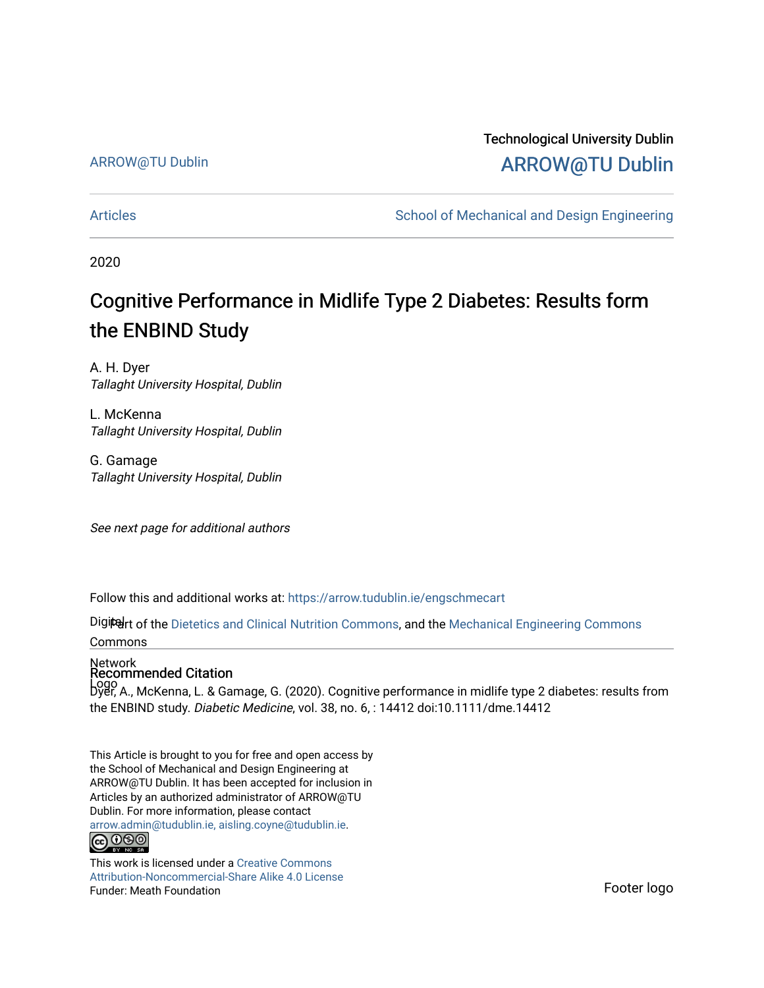#### ARROW@TU Dublin

# Technological University Dublin [ARROW@TU Dublin](https://arrow.tudublin.ie/)

[Articles](https://arrow.tudublin.ie/engschmecart) **School of Mechanical and Design Engineering** School of Mechanical and Design Engineering

2020

# Cognitive Performance in Midlife Type 2 Diabetes: Results form the ENBIND Study

A. H. Dyer Tallaght University Hospital, Dublin

L. McKenna Tallaght University Hospital, Dublin

G. Gamage Tallaght University Hospital, Dublin

See next page for additional authors

Follow this and additional works at: [https://arrow.tudublin.ie/engschmecart](https://arrow.tudublin.ie/engschmecart?utm_source=arrow.tudublin.ie%2Fengschmecart%2F64&utm_medium=PDF&utm_campaign=PDFCoverPages) 

Digiter of the [Dietetics and Clinical Nutrition Commons,](http://network.bepress.com/hgg/discipline/662?utm_source=arrow.tudublin.ie%2Fengschmecart%2F64&utm_medium=PDF&utm_campaign=PDFCoverPages) and the [Mechanical Engineering Commons](http://network.bepress.com/hgg/discipline/293?utm_source=arrow.tudublin.ie%2Fengschmecart%2F64&utm_medium=PDF&utm_campaign=PDFCoverPages) Commons

#### Network Recommended Citation

Logo Dyer, A., McKenna, L. & Gamage, G. (2020). Cognitive performance in midlife type 2 diabetes: results from the ENBIND study. Diabetic Medicine, vol. 38, no. 6, : 14412 doi:10.1111/dme.14412

This Article is brought to you for free and open access by the School of Mechanical and Design Engineering at ARROW@TU Dublin. It has been accepted for inclusion in Articles by an authorized administrator of ARROW@TU Dublin. For more information, please contact [arrow.admin@tudublin.ie, aisling.coyne@tudublin.ie](mailto:arrow.admin@tudublin.ie,%20aisling.coyne@tudublin.ie).<br>(co 060

This work is licensed under a [Creative Commons](http://creativecommons.org/licenses/by-nc-sa/4.0/) [Attribution-Noncommercial-Share Alike 4.0 License](http://creativecommons.org/licenses/by-nc-sa/4.0/) Funder: Meath Foundation Fundition Control of the Second Control of The Second Control of The Footer logo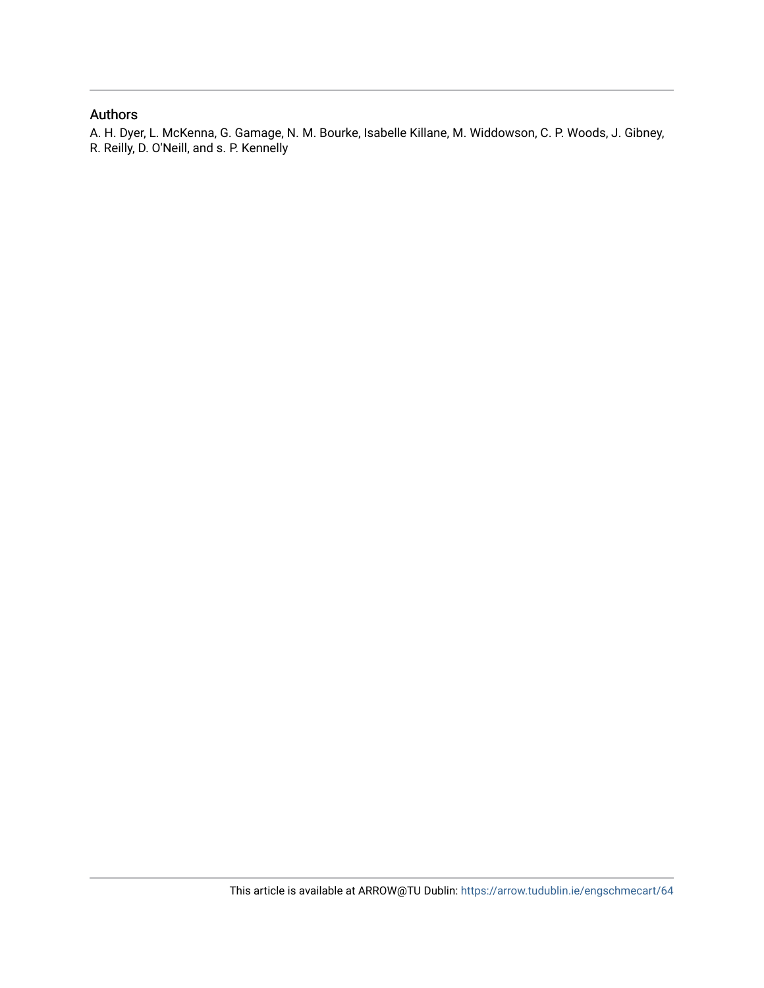#### Authors

A. H. Dyer, L. McKenna, G. Gamage, N. M. Bourke, Isabelle Killane, M. Widdowson, C. P. Woods, J. Gibney, R. Reilly, D. O'Neill, and s. P. Kennelly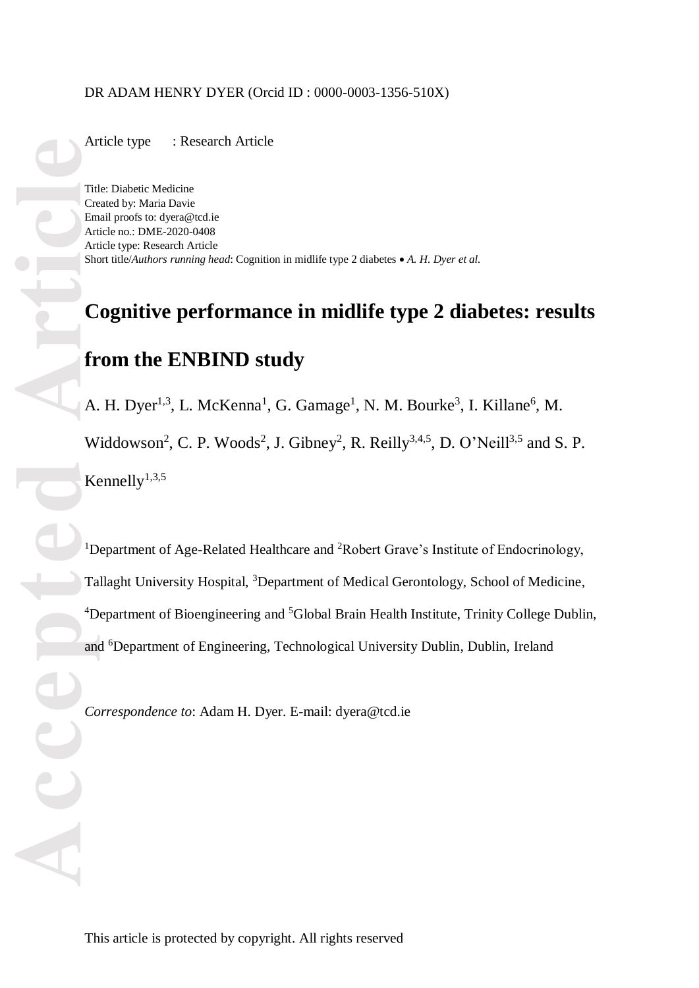#### DR ADAM HENRY DYER (Orcid ID : 0000 -0003 -1356 -510X)

Article type : Research Article

Title: Diabetic Medicine Created by: Maria Davie Email proofs to: [dyera@tcd.ie](mailto:dyera@tcd.ie) Article no.: DME -2020 -0408 Article type: Research Article Short title/*Authors running head*: Cognition in midlife type 2 diabetes *A. H. Dyer et al.*

# **Cognitive performance in midlife type 2 diabetes: results from the ENBIND study**

A. H. Dyer<sup>1,3</sup>, L. McKenna<sup>1</sup>, G. Gamage<sup>1</sup>, N. M. Bourke<sup>3</sup>, I. Killane<sup>6</sup>, M. Widdowson<sup>2</sup>, C. P. Woods<sup>2</sup>, J. Gibney<sup>2</sup>, R. Reilly<sup>3,4,5</sup>, D. O'Neill<sup>3,5</sup> and S. P. Kennelly $^{1,3,5}$ 

**Article**<br>
Tid<br>
Cree Ant She<br>
Article<br>
Article<br>
Article<br>
Article<br>
Cree Cree Ant She<br>
Cree Ant She<br>
Cree Ant She<br>
Cree Ant She<br>
Cree Article <sup>1</sup>Department of Age-Related Healthcare and <sup>2</sup>Robert Grave's Institute of Endocrinology, Tallaght University Hospital, <sup>3</sup>Department of Medical Gerontology, School of Medicine, <sup>4</sup>Department of Bioengineering and <sup>5</sup>Global Brain Health Institute, Trinity College Dublin, and <sup>6</sup>Department of Engineering, Technological University Dublin, Dublin, Ireland

*Correspondence to*: Adam H . Dyer. E -mail: [dyera@tcd.ie](mailto:dyera@tcd.ie)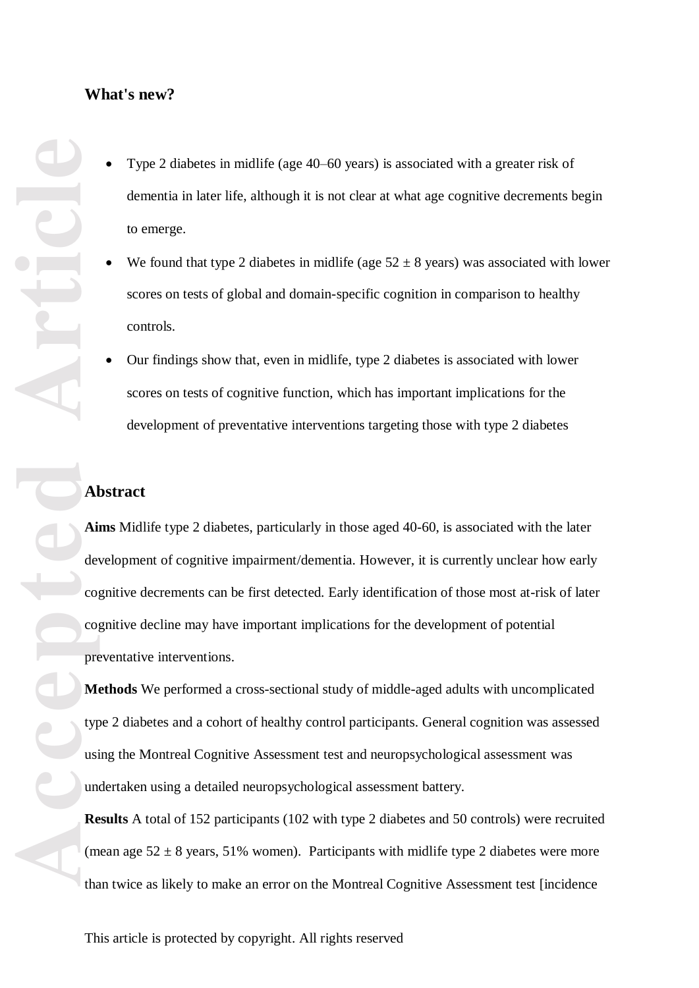#### **What's new?**

- Type 2 diabetes in midlife (age 40 –60 years) is associated with a greater risk of dementia in later life, although it is not clear at what age cognitive decrements begin to emerge.
- We found that type 2 diabetes in midlife (age  $52 \pm 8$  years) was associated with lower scores on tests of global and domain -specific cognition in comparison to healthy controls .
- Our findings show that , even in midlife, type 2 diabetes is associated with lower scores on tests of cognitive function, which has important implications for the development of preventative interventions targeting those with type 2 diabetes

# **Abstract**

Aims Midlife type 2 diabetes, particularly in those aged 40-60, is associated with the later development of cognitive impairment/dementia. However, it is currently unclear how early cognitive decrements can be first detected. Early identification of those most at -risk of later cognitive decline may have important implications for the development of potential preventative interventions.

**Methods** We performed a cross -sectional study of middle -aged adults with uncomplicated type 2 diabetes and a cohort of healthy control participants. General cognition was assessed using the Montreal Cognitive Assessment test and neuropsychological assessment was undertaken using a detailed neuropsychological assessment battery.

**Results** A total of 152 participants (102 with type 2 diabetes and 50 controls) were recruited (mean age  $52 \pm 8$  years, 51% women). Participants with midlife type 2 diabetes were more than twice as likely to make an error on the Montreal Cognitive Assessment test [incidence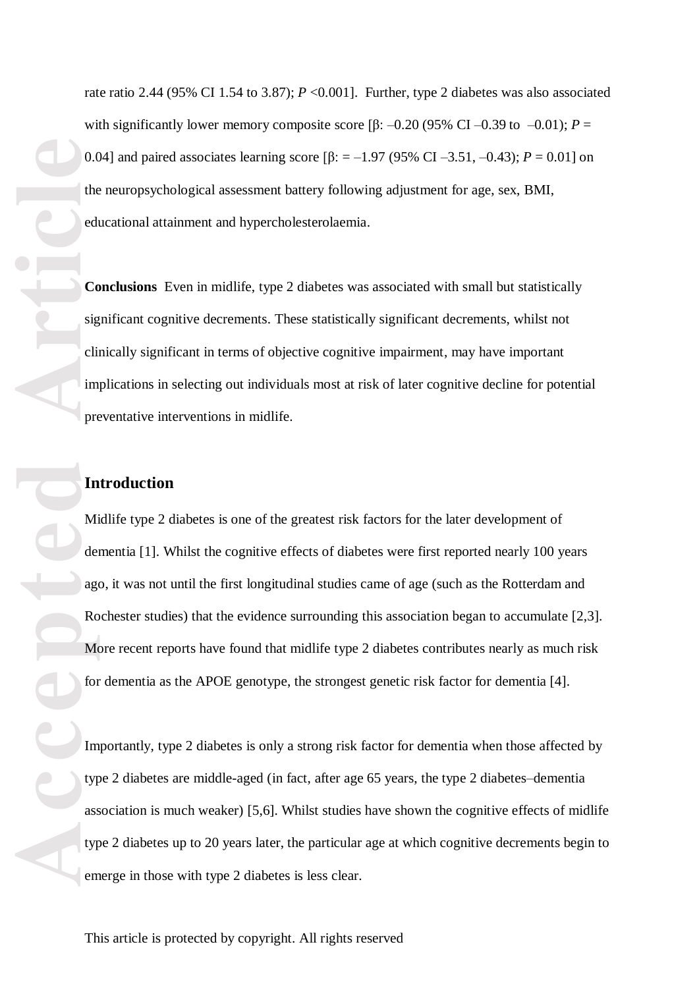rate ratio 2.44 (95% CI 1.54 to 3.87);  $P \le 0.001$ ]. Further, type 2 diabetes was also associated with significantly lower memory composite score  $\beta$ :  $-0.20$  (95% CI  $-0.39$  to  $-0.01$ );  $P =$ 0.04] and paired associates learning score [β: =  $-1.97$  (95% CI  $-3.51$ ,  $-0.43$ );  $P = 0.01$ ] on the neuropsychological assessment battery following adjustment for age, sex, BMI, educational attainment and hypercholesterolaemia.

**Conclusions** Even in midlife, type 2 diabetes was associated with small but statistically significant cognitive decrements. These statistically significant decrements, whilst not clinically significan t in terms of objective cognitive impairment, may have important implications in selecting out individuals most at risk of later cognitive decline for potential preventative interventions in midlife.

# **Introduction**

Midlife type 2 diabetes is one of the greatest risk factors for the later development of dementia [ 1 ]. Whilst the cognitive effects of diabetes were first reported nearly 100 years ago, it was not until the first longitudinal studies came of age (such as the Rotterdam and Rochester studies) that the evidence surrounding this association began to accumulate [2,3]. More recent reports have found that midlife type 2 diabetes contribute s nearly as much risk for dementia as the APOE genotype, the strongest genetic risk factor for dementia [4].

Importantly, type 2 diabetes is only a strong risk factor for dementia when those affected by type 2 diabetes are middle -aged (in fact, after age 65 years, the type 2 diabetes –dementia association is much weaker) [5,6]. Whilst studies have shown the cognitive effects of midlife type 2 diabetes up to 20 years later, the particular age at which cognitive decrements begin to emerge in those with type 2 diabetes is less clear.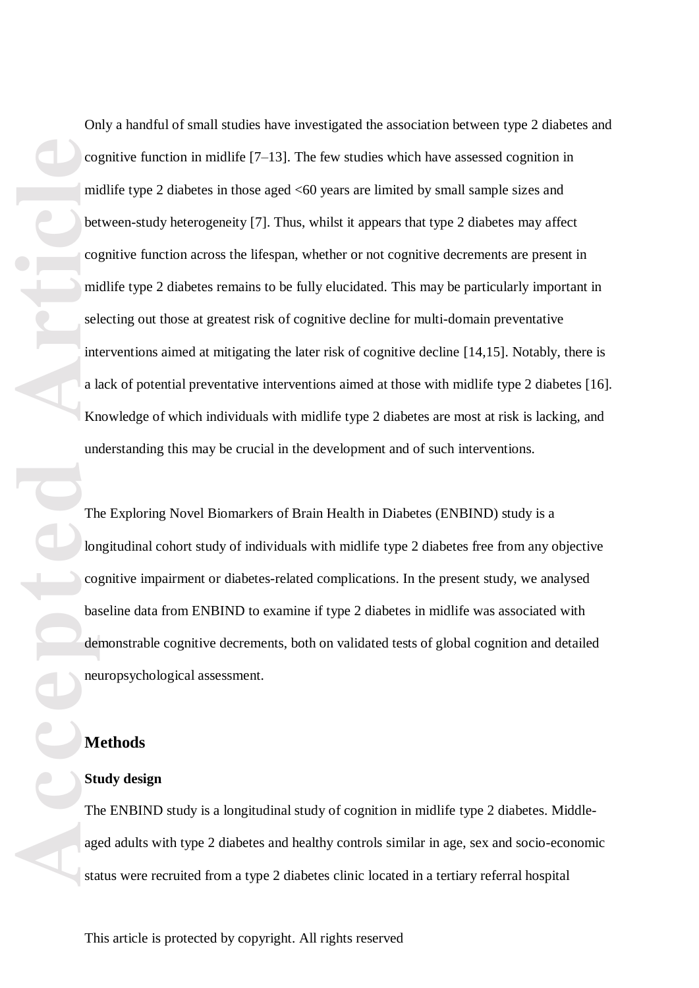Only a handful of small studies have investigated the association between type 2 diabetes and cognitive function in midlife  $[7-13]$ . The few studies which have assessed cognition in midlife type 2 diabetes in those aged <60 years are limited by small sample sizes and between-study heterogeneity [7]. Thus, whilst it appears that type 2 diabetes may affect cognitive function across the lifespan, whether or not cognitive decrements are present in midlife type 2 diabetes remains to be fully elucidated. This may be particularly important in selecting out those at greatest risk of cognitive decline for multi-domain preventative interventions aimed at mitigating the later risk of cognitive decline [14,15]. Notably, there is a lack of potential preventative interventions aimed at those with midlife type 2 diabetes [16]. Knowledge of which individuals with midlife type 2 diabetes are most at risk is lacking, and understanding this may be crucial in the development and of such interventions.

The Exploring Novel Biomarkers of Brain Health in Diabetes (ENBIND) study is a longitudinal cohort study of individuals with midlife type 2 diabetes free from any objective cognitive impairment or diabetes-related complications. In the present study, we analysed baseline data from ENBIND to examine if type 2 diabetes in midlife was associated with demonstrable cognitive decrements, both on validated tests of global cognition and detailed neuropsychological assessment.

#### **Methods**

#### **Study design**

The ENBIND study is a longitudinal study of cognition in midlife type 2 diabetes. Middleaged adults with type 2 diabetes and healthy controls similar in age, sex and socio-economic status were recruited from a type 2 diabetes clinic located in a tertiary referral hospital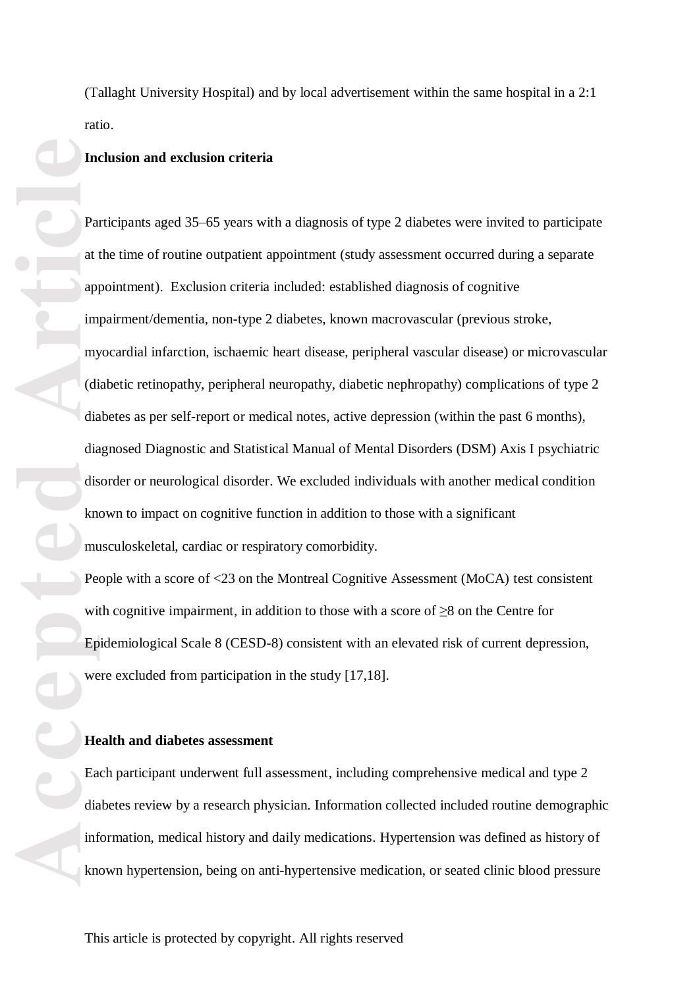(Tallaght University Hospital) and by local advertisement within the same hospital in a 2:1 ratio.

#### **Inclusion and exclusion criteria**

**Example 18**<br> **Accepted Article**<br> **Accepted Article**<br> **Article**<br> **Article**<br> **Article**<br> **Article**<br> **Article**<br> **Article**<br> **Article**<br> **Article**<br> **Article**<br> **Article**<br> **Article**<br> **Article**<br> **Article**<br> **Article**<br> **Article**<br> Participants aged 35 –65 years with a diagnosis of type 2 diabetes were invited to participate at the time of routine outpatient appointment (study assessment occurred during a separate appointment ). Exclusion criteria included: established diagnosis of cognitive impairment/dementia, non - type 2 diabetes, known macrovascular (previous stroke, myocardial infarction, ischaemic heart disease, peripheral vascular disease) or microvascular (diabetic retinopathy, peripheral neuropathy, diabetic nephropathy) complications of type 2 diabetes as per self-report or medical notes, active depression (within the past 6 months), diagnosed Diagnostic and Statistical Manual of Mental Disorders (DSM ) Axis I psychiatric disorder or neurological disorder. We excluded individuals with another medical condition known to impact on cognitive function in addition to those with a significant musculoskeletal, cardiac or respiratory comorbidity.<br>People with a score of <23 on the Montreal Cognitive Assessment (MoCA) test consistent

with cognitive impairment, in addition to those with a score of ≥8 on the Centre for Epidemiological Scale 8 (CESD -8) consistent with an elevated risk of current depression , were excluded from participation in the study [17,18] .

#### **Health and diabetes assessment**

Each participant underwent full assessment , including comprehensive medical and type 2 diabetes review by a research physician. Information collected included routine demographic information, medical history and daily medications. Hypertension was defined as history of known hypertension, being on anti -hypertensive medication , or seated clinic blood pressure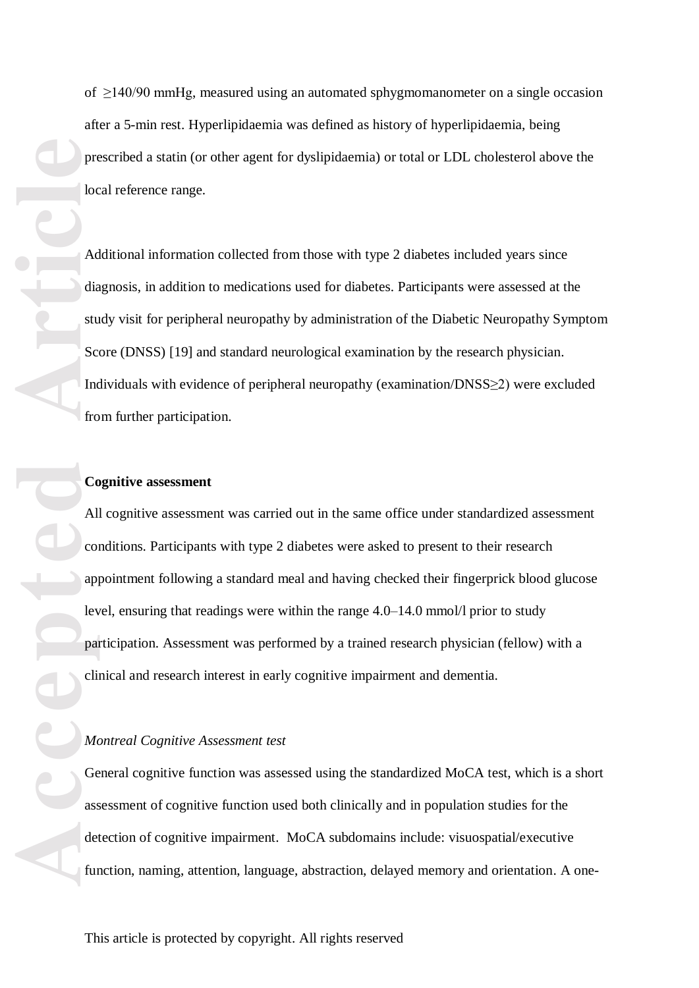of ≥140/90 mmHg , measured using an automated sphygmomanometer on a single occasion after a 5 -min rest . Hyperlipidaemia was defined as history of hyperlipidaemia, being prescribed a statin (or other agent for dyslipidaemia) or total or LDL cholesterol above the local reference range.

Additional information collected from those with type 2 diabetes included years since diagnosis , in addition to medications used for diabetes. Participants were assessed at the study visit for peripheral neuropathy by administration of the Diabetic Neuropathy Symptom Score (DNSS) [19] and standard neurological examination by the research physician. Individuals with evidence of peripheral neuropathy (examination/DNSS≥2) were excluded from further participation.

#### **Cognitive assessment**

All cognitive assessment was carried out in the same office under standardi zed assessment conditions. Participants with type 2 diabetes were asked to present to their research appointment following a standard meal and having checked their fingerprick blood glucose level, ensuring that readings were within the range 4.0–14.0 mmol/l prior to study participation. Assessment was performed by a trained research physician (fellow) with a clinical and research interest in early cognitive impairment and dementia.

#### *Montreal Cognitive Assessment test*

General cognitive function was assessed using the standardized MoCA test, which is a short assessment of cognitive function used both clinically and in population studies for the detection of cognitive impairment. MoCA subdomains include: visuospatial/executive function, naming, attention, language, abstraction, delayed memory and orientation. A one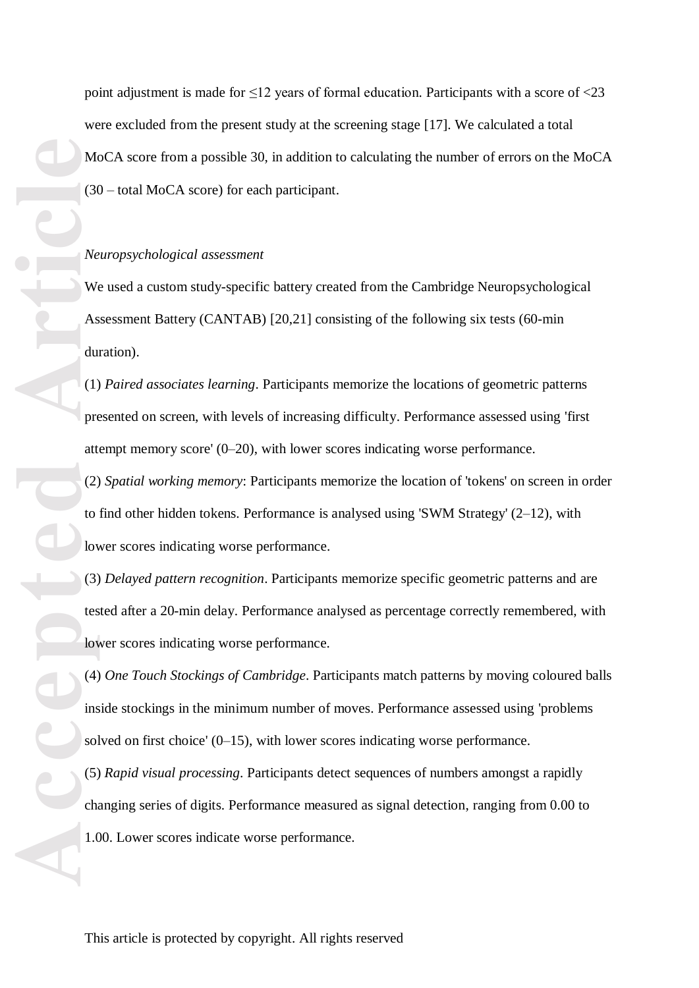point adjustment is made for  $\leq 12$  years of formal education. Participants with a score of  $\leq 23$ were excluded from the present study at the screening stage [17]. We calculated a total MoCA score from a possible 30, in addition to calculating the number of errors on the MoCA (30 – total MoCA score) for each participant.

#### *Neuropsychological assessment*

We used a custom study-specific battery created from the Cambridge Neuropsychological Assessment Battery (CANTAB) [20,21] consisting of the following six tests (60-min duration) .

(1) *Paired associates learning*. Participants memorize the locations of geometric patterns presented on screen, with levels of increasing difficulty. Performance assessed using 'first attempt memory score' (0 –20), with lower scores indicating worse performance.

(2) *Spatial working memory*: Participants memori ze the location of 'tokens' on screen in order to find other hidden tokens. Performance is analysed using 'SWM Strategy' (2-12), with lower scores indicating worse performance.

(3) *Delayed pattern recognition* . Participants memori ze specific geometric patterns and are tested after a 20 -min delay. Performance analysed as percentage correctly remembered, with lower scores indicating worse performance.

(4) *One Touch Stockings of Cambridge* . Participants match patterns by moving coloured balls inside stockings in the minimum number of moves. Performance assessed using 'problems solved on first choice' (0 –15), with lower scores indicating worse performance.

(5) *Rapid visual processing*. Participants detect sequences of numbers amongst a rapidly changing series of digits. Performance measured as signal detection, ranging from 0.00 to 1.00. Lower scores indicate worse performance.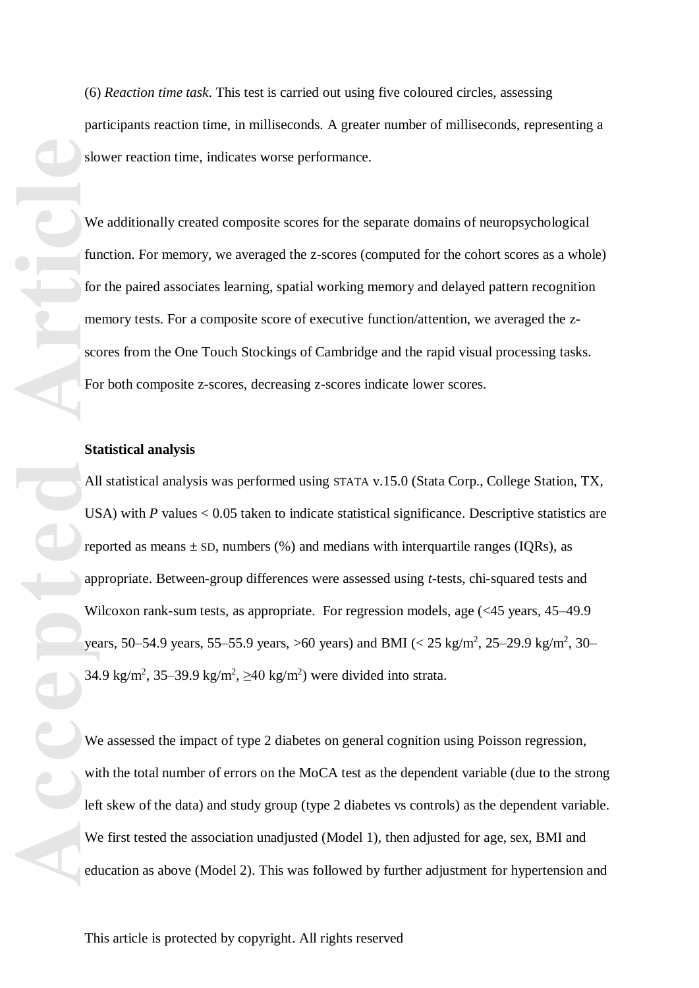(6) *Reaction time task* . This test is carried out using five coloured circles, assessing participants reaction time, in milliseconds. A greater number of milliseconds, representing a slower reaction time , indicates worse performance.

We additionally created composite scores for the separate domains of neuropsychological function. For memory, we averaged the z-scores (computed for the cohort scores as a whole) for the paired associates learning, spatial working memory and delayed pattern recognition memory tests. For a composite score of executive function/attention, we averaged the zscores from the One Touch Stockings of Cambridge and the rapid visual processing tasks. For both composite z -scores, decreasing z -scores indicate lower scores.

#### **Statistical analysis**

Be starting to the second of the second of the second of the second of the second of the second of the second of the second of the second of the second of the second of the second of the second of the second of the second All statistical analysis was performed using STATA v.15.0 (Stata Corp., College Station, TX, USA) with  $P$  values  $< 0.05$  taken to indicate statistical significance. Descriptive statistics are reported as means  $\pm$  SD, numbers (%) and medians with interquartile ranges (IQRs), as appropriate. Between -group differences were assessed using *t* -tests, chi -square d tests and Wilcoxon rank-sum tests, as appropriate. For regression models, age (<45 years, 45–49.9 years, 50–54.9 years, 55–55.9 years, >60 years) and BMI (<  $25 \text{ kg/m}^2$ ,  $25$ – $29.9 \text{ kg/m}^2$ ,  $30$ – 34.9 kg/m<sup>2</sup>, 35–39.9 kg/m<sup>2</sup>,  $\geq$ 40 kg/m<sup>2</sup>) were divided into strata.

We assessed the impact of type 2 diabetes on general cognition using Poisson regression, with the total number of errors on the MoCA test as the dependent variable (due to the strong left skew of the data) and study group (type 2 diabetes vs controls) as the dependent variable. We first tested the association unadjusted (Model 1), then adjusted for age, sex, BMI and education as above (Model 2). This was followed by further adjustment for hypertension and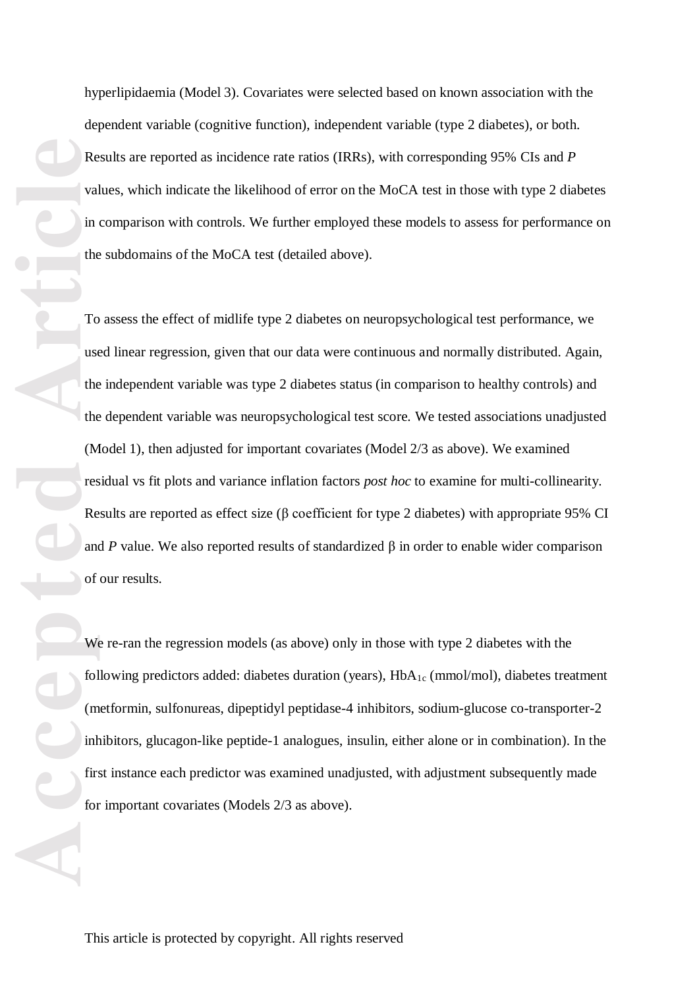hyperlipidaemia (Model 3). Covariates were selected based on known association with the dependent variable (cognitive function), independent variable ( type 2 diabetes), or both. Results are reported as incidence rate ratios (IRR s), with corresponding 95% CIs and *P* values, which indicate the likelihood of error on the MoCA test in those with type 2 diabetes in comparison with controls. We further employed these models to assess for performance on the subdomains of the MoCA test (detailed above).

**Accepted Article**<br> **Accepted Article**<br> **Accepted Articles**<br> **Articles**<br> **Articles**<br> **Articles**<br> **Articles**<br> **Articles**<br> **Articles**<br> **Articles**<br> **Articles**<br> **Articles**<br> **Articles**<br> **Articles**<br> **Articles**<br> **Articles**<br> To assess the effect of midlife type 2 diabetes on neuropsychological test performance, we used linear regression, given that our data were continuous and normally distributed. Again, the independent variable was type 2 diabetes status (in comparison to healthy controls) and the dependent variable was neuropsychological test score. We tested associations unadjusted (Model 1) , then adjusted for important covariates (Model 2/3 as above). We examined residual vs fit plots and variance inflation factors *post hoc* to examine for multi -collinearity. Results are reported as effect size (β coefficient for type 2 diabetes) with appropriate 95% CI and P value. We also reported results of standardized  $\beta$  in order to enable wider comparison of our results.

We re -ran the regression models (as above) only in those with type 2 diabetes with the following predictors added: diabetes duration (years), HbA<sub>1c</sub> (mmol/mol), diabetes treatment (metformin, sul fonurea s, dipeptidyl peptidase - 4 inhibitor s , sodium -glucose co -transporter - 2 inhibitor s, glucagon -like peptide -1 analogue s, insulin , either alone or in combination). In the first instance each predictor was examined unadjusted, with adjustment subsequently made for important covariates (Model s 2/3 as above).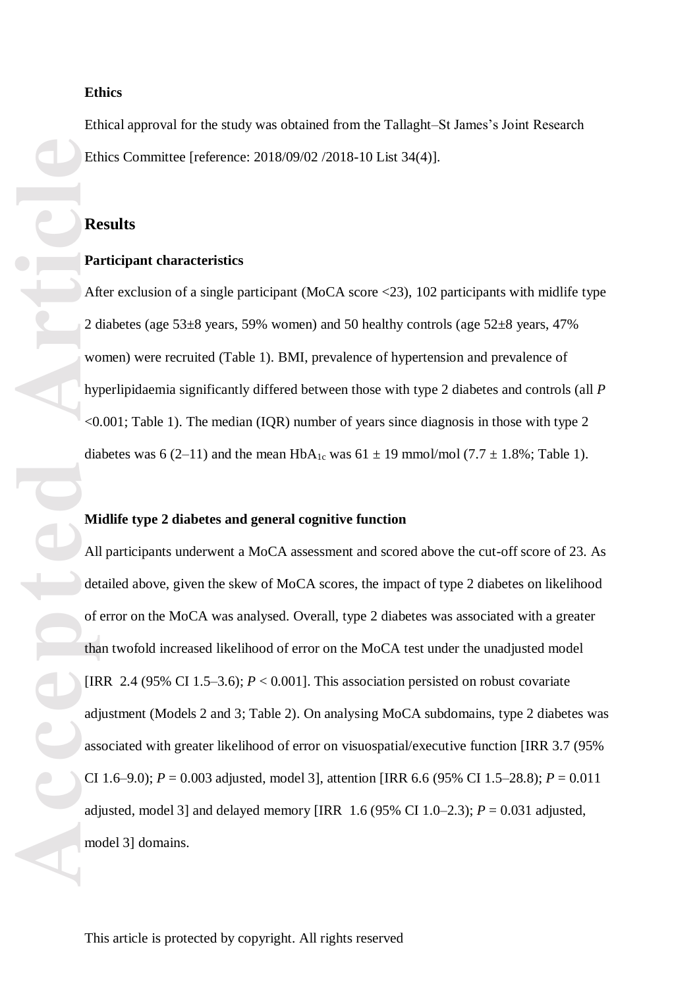#### **Ethics**

Ethical approval for the study was obtained from the Tallaght –St James's Joint Research Ethics Committee [reference: 2018/09/02 /2018 -10 List 34(4)] .

#### **Results**

#### **Participant characteristics**

After exclusion of a single participant (MoCA score <23), 102 participants with midlife type 2 diabetes (age 53 $\pm$ 8 years, 59% women) and 50 healthy controls (age 52 $\pm$ 8 years, 47% women) were recruited (Table 1). BMI, prevalence of hypertension and prevalence of hyperlipidaemia significantly differed between those with type 2 diabetes and controls (all *P* <0.001 ; Table 1). The median (IQR ) number of years since diagnosis in those with type 2 diabetes was 6 (2–11) and the mean  $HbA_{1c}$  was 61  $\pm$  19 mmol/mol (7.7  $\pm$  1.8%; Table 1).

#### **Midlife type 2 diabetes and general cognitive function**

Etl<br>
Re<br>
Pa<br>
Aft<br>
2 d<br>
Willy<br>
<br/>O dia<br>
Mill del<br>
of tha di<br>
(IIF adj ass<br>
CI adj mo All participants underwent a MoCA assessment and scored above the cut-off score of 23. As detailed above, given the skew of MoCA scores , the impact of type 2 diabetes on likelihood of error on the MoCA was analysed. Overall, type 2 diabetes was associated with a greater than twofold increased likelihood of error on the MoCA test under the unadjusted model [IRR 2.4 (95% CI 1.5–3.6);  $P < 0.001$ ]. This association persisted on robust covariate adjustment (Models 2 and 3; Table 2). On analysing MoCA subdomains, type 2 diabetes was associated with greater likelihood of error on visuospatial/executive function [IRR 3.7 (95% CI 1.6–9.0);  $P = 0.003$  adjusted, model 3], attention [IRR 6.6 (95% CI 1.5–28.8);  $P = 0.011$ adjusted, model 3] and delayed memory [IRR  $1.6 (95\% \text{ CI } 1.0-2.3)$ ;  $P = 0.031$  adjusted, model 3 ] domains .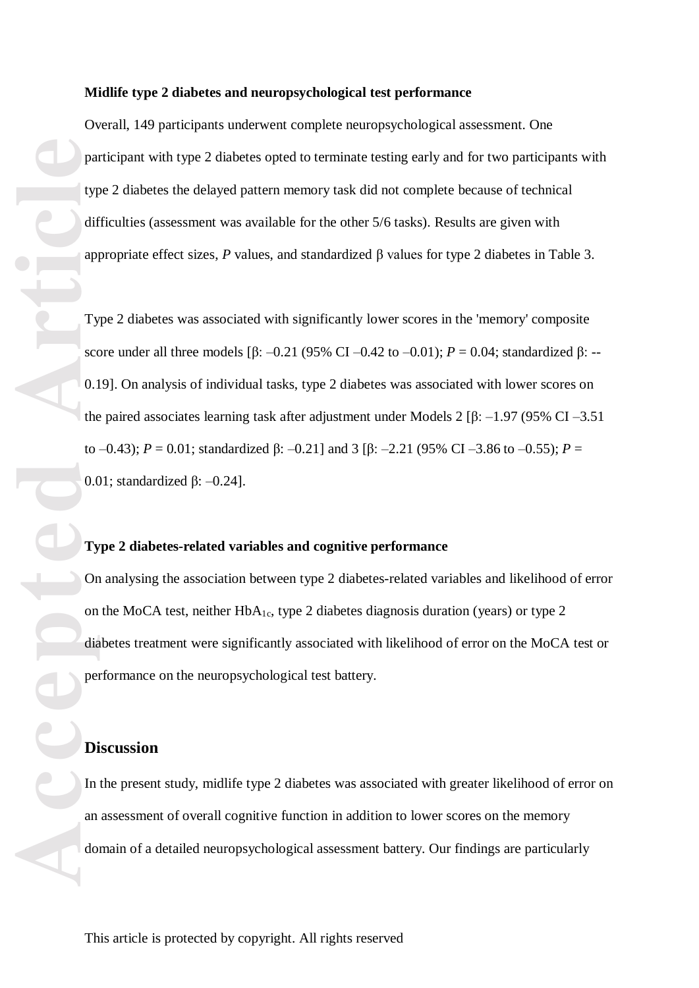#### **Midlife type 2 diabetes and neuropsychological test performance**

Overall, 149 participants underwent complete neuropsychological assessmen t. One participant with type 2 diabetes opted to terminate testing early and for two participants with type 2 diabetes the delayed pattern memory task did not complete because of technical difficulties (assessment was available for the other 5/6 tasks). Results are given with appropriate effect sizes,  $P$  values, and standardized  $\beta$  values for type 2 diabetes in Table 3.

Type 2 diabetes was associated with significantly lower scores in the 'memory' composite score under all three models [β:  $-0.21$  (95% CI  $-0.42$  to  $-0.01$ );  $P = 0.04$ ; standardized β: --0.19 ]. On analysis of individual tasks, type 2 diabetes was associated with lower scores on the paired associates learning task after adjustment under Models 2 [β:  $-1.97$  (95% CI  $-3.51$ ) to  $-0.43$ );  $P = 0.01$ ; standardized β:  $-0.21$ ] and 3 [β:  $-2.21$  (95% CI  $-3.86$  to  $-0.55$ );  $P =$ 0.01; standardized  $\beta$ : -0.24].

#### **Type 2 diabetes -related variables and cognitive performance**

On analysing the association between type 2 diabetes -related variables and likelihood of error on the MoCA test, neither  $HbA_{1c}$ , type 2 diabetes diagnosis duration (years) or type 2 diabetes treatment were significantly associated with likelihood of error on the MoCA test or performance on the neuropsychological test battery.

In the present study, midlife type 2 diabetes was associated with greater likelihood of error on an assessment of overall cognitive function in addition to lower scores on the memory domain of a detailed neuropsychological assessment battery. Our findings are particularly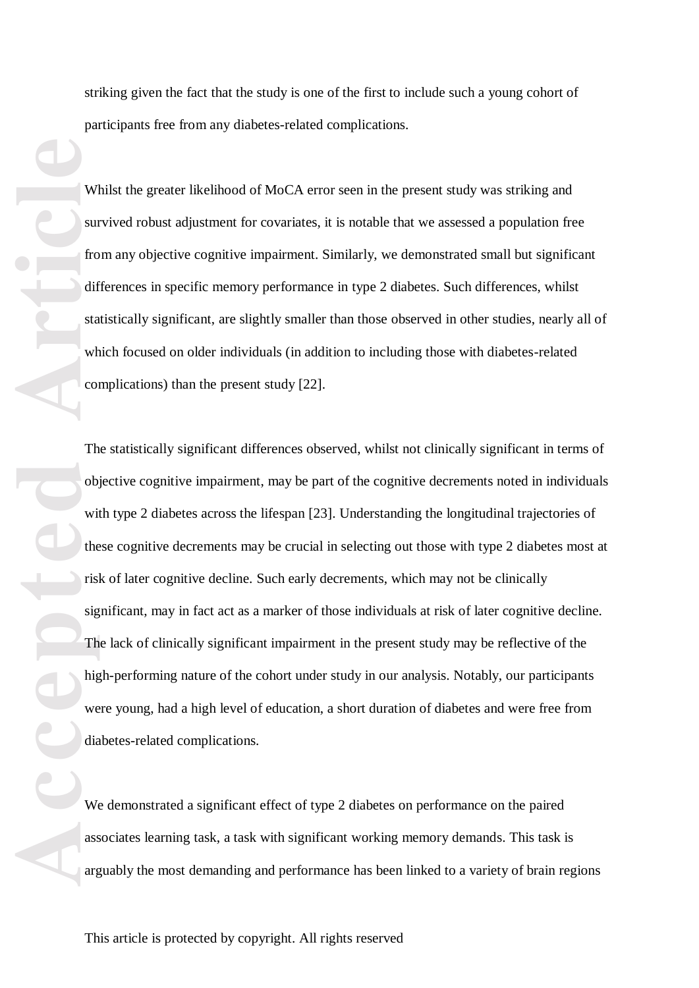striking given the fact that the study is one of the first to include such a young cohort of participants free from any diabetes -related complications.

Whilst the greater likelihood of MoCA error seen in the present study was striking and survived robust adjustment for covariates, it is notable that we assessed a population free from any objective cognitive impairment. Similarly, we demonstrated small but significant differences in specific memory performance in type 2 diabetes. Such differences, whilst statistically significant, are slightly smaller than those observed in other studies, nearly all of which focused on older individuals (in addition to including those with diabetes -related complications) than the present study [22].

**Accepted Article**<br> **Article**<br> **Article**<br> **Article**<br> **Article**<br> **Article**<br> **Article**<br> **Article**<br> **Article**<br> **Article**<br> **Article**<br> **Article**<br> **Article**<br> **Article**<br> **Article**<br> **Article**<br> **Article**<br> **Article**<br> **Article**<br> **A** The statistically significant differences observed, whilst not clinically significant in terms of objective cognitive impairment, may be part of the cognitive decrements noted in individuals with type 2 diabetes across the lifespan [23]. Understanding the longitudinal trajectories of these cognitive decrements may be crucial in selecting out those with type 2 diabetes most at risk of later cognitive decline. Such early decrements, which may not be clinically significant, may in fact act as a marker of those individuals at risk of later cognitive decline. The lack of clinically significant impairment in the pre sent study may be reflective of the high -performing nature of the cohort under study in our analysis. Notably, our participants were young, had a high level of education, a short duration of diabetes and were free from diabetes -related complications.

We demonstrated a significant effect of type 2 diabetes on performance on the paired associates learning task, a task with significant working memory demands. This task is arguably the most demanding and performance has been linked to a variety of brain regions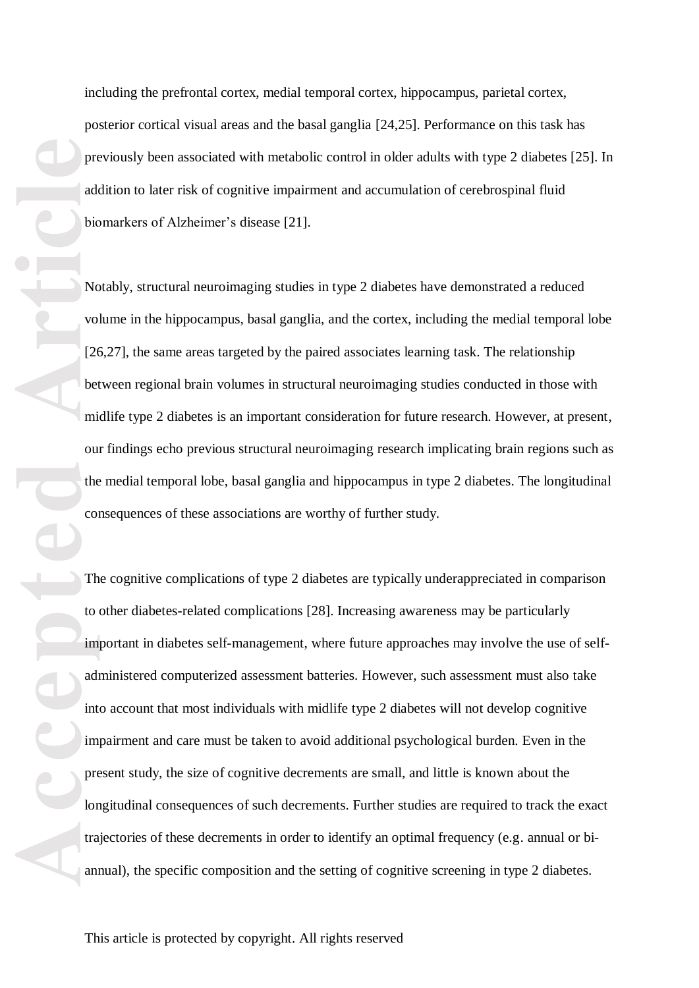including the prefrontal cortex, medial temporal cortex, hippocampus, parietal cortex, posterior cortical visual areas and the basal ganglia [24,25] . Performance on this task has previously been associated with metabolic control in older adults with type 2 diabetes [25]. In addition to later risk of cognitive impairment and accumulation of cerebrospinal fluid biomarkers of Alzheimer's disease [21].

Notably, structural neuroimaging studies in type 2 diabetes have demonstrated a reduced volume in the hippocampus, basal ganglia, and the cortex, including the medial temporal lobe [26,27], the same areas targeted by the paired associates learning task. The relationship between regional brain volumes in structural neuroimaging studies conducted in those with midlife type 2 diabetes is an important consideration for future research. However, at present , our findings echo previous structural neuroimaging research implicating brain regions such as the medial temporal lobe, basal ganglia and hippocampus in type 2 diabetes. The longitudinal consequences of these association s are worthy of further study.

The cognitive complications of type 2 diabetes are typically underappreciated in comparison to other diabetes -related complications [28] . Increasing awareness may be particularly important in diabetes self-management, where future approaches may involve the use of selfadministered computerized assessment batteries. However, such assessment must also take into account that most individuals with midlife type 2 diabetes will not develop cognitive impairment and care must be taken to avoid additional psychological burden. Even in the present study, the size of cognitive decrements are small, and little is known about the longitudinal consequences of such decrements. Further studies are required to track the exact trajectories of these decrements in order to identify an optimal frequency (e.g . annual or bi annual), the specific composition and the setting of cognitive screening in type 2 diabetes.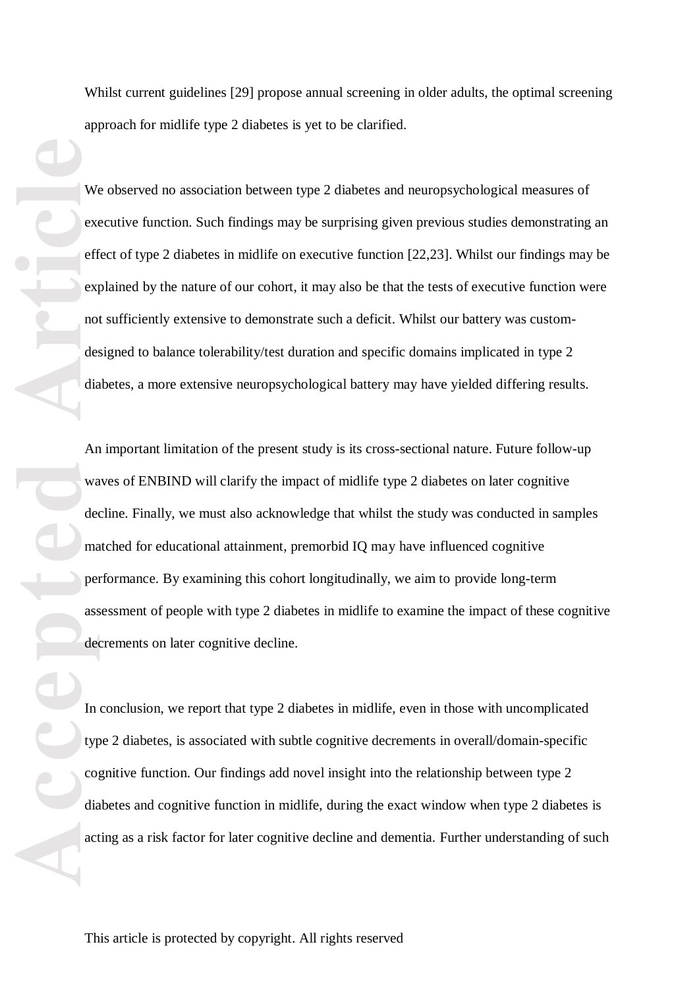Whilst current guidelines [29] propose annual screening in older adults, the optimal screening approach for midlife type 2 diabetes is yet to be clarified.

We observed no association between type 2 diabetes and neuropsychological measures of executive function. Such findings may be surprising given previous studies demonstrating an effect of type 2 diabetes in midlife on executive function [22,23]. Whilst our findings may be explained by the nature of our cohort, it may also be that the tests of executive function were not sufficiently extensive to demonstrate such a deficit. Whilst our battery was custom designed to balance tolerability/test duration and specific domains implicated in type 2 diabetes, a more extensive neuropsychological battery may have yielded differing results.

**Accepted Articles Constructed Article**<br> **Article**<br> **Article**<br> **Article**<br> **Article**<br> **Article**<br> **Article**<br> **Article**<br> **Article**<br> **Article**<br> **Article**<br> **Article**<br> **Article**<br> **Article**<br> **Article**<br> **Article**<br> **Article**<br> An important limitation of the present study is its cross -sectional nature. Future follow -up waves of ENBIND will clarify the impact of midlife type 2 diabetes on later cognitive decline. Finally, we must also acknowledge that whilst the study was conducted in samples matched for educational attainment, premorbid IQ may have influenced cognitive performance. By examining this cohort longitudinally, we aim to provide long -term assessment of people with type 2 diabetes in midlife to examine the impact of these cognitive decrements on later cognitive decline.

In conclusion, we report that type 2 diabetes in midlife, even in those with uncomplicated type 2 diabetes, is associated with subtle cognitive decrements in overall/domain -specific cognitive function. Our findings add novel insight into the relationship between type 2 diabetes and cognitive function in midlife, during the exact window when type 2 diabetes is acting as a risk factor for later cognitive decline and dementia. Further understanding of such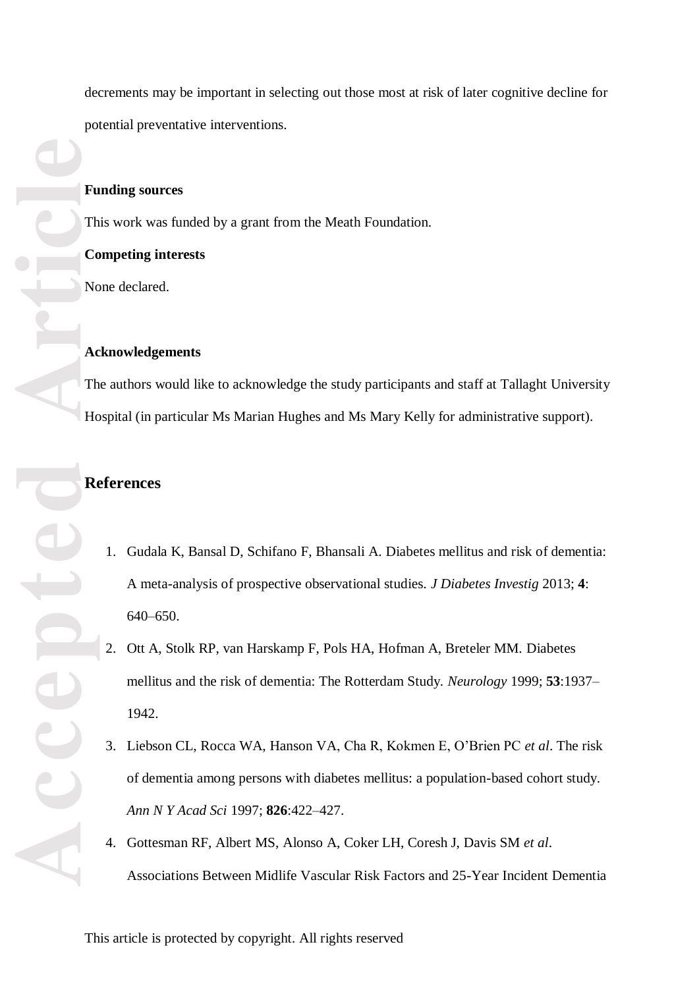decrements may be important in selecting out those most at risk of later cognitive decline for potential preventative interventions.

#### **Funding sources**

This work was funded by a grant from the Meath Foundation.

#### **Competing interests**

None declared.

#### **Acknowledgements**

The authors would like to acknowledge the study participants and staff at Tallaght University Hospital (in particular Ms Marian Hughes and Ms Mary Kelly for administrative support).

### **References**

- 1. Gudala K, Bansal D, Schifano F, Bhansali A. Diabetes mellitus and risk of dementia: A meta -analysis of prospective observational studies. *J Diabetes Investig* 2013 ; **4** : 640 – 650.
- 2. Ott A , Stolk RP, van Harskamp F, Pols HA, Hofman A, Breteler MM. Diabetes mellitus and the risk of dementia: The Rotterdam Study. *Neurology* 1999 ; **53**:1937 – 1942.
- 3. Liebson CL, Rocca WA, Hanson VA, Cha R, Kokmen E, O'Brien PC *et al* . The risk of dementia among persons with diabetes mellitus: a population -based cohort study. *Ann N Y Acad Sci* 1997 ; **826**:422 –427.
- 4. Gottesman RF, Albert MS, Alonso A, Coker LH, Coresh J, Davis SM *et al*. Associations Between Midlife Vascular Risk Factors and 25 -Year Incident Dementia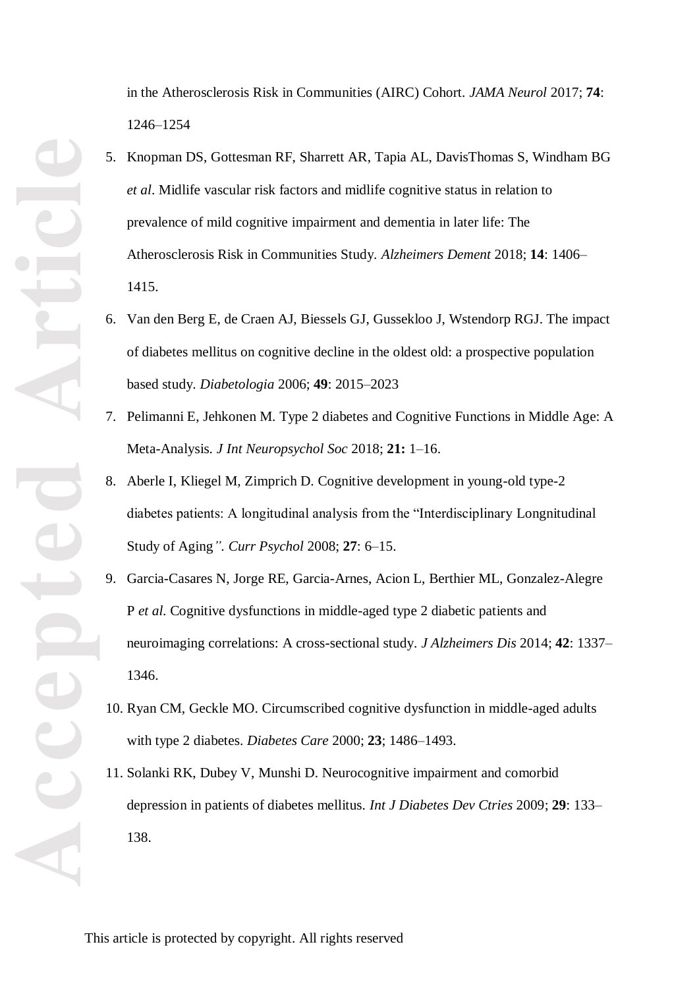in the Atherosclerosis Risk in Communities (AIRC) Cohort. *JAMA Neurol* 2017 ; **74** : 1246 –1254

- 5. Knopman DS, Gottesman RF, Sharrett AR , Tapia AL, DavisThomas S, Windham BG *et al*. Midlife vascular risk factors and midlife cognitive status in relation to prevalence of mild cognitive impairment and dementia in later life: The Atherosclerosis Risk in Communities Study. Alzheimers Dement 2018; 14: 1406-1415.
- 6. Van den Berg E, de Craen AJ, Biessels GJ, Gussekloo J, Wstendorp RGJ. The impact of diabetes mellitus on cognitive decline in the oldest old: a prospective population based study. *Diabetologia* 2006; **49** : 2015 –2023
- 7. Pelimanni E , Jehkonen M. Type 2 diabetes and Cognitive Functions in Middle Age: A Meta -Analysis. *J Int Neuropsycho l Soc* 2018 ; **21:** 1 –16.
- 8. Aberle I, Kliegel M, Zimprich D. Cognitive development in young -old type -2 diabetes patients: A longitudinal analysis from the "Interdisciplinary Longnitudinal Study of Aging *" . Curr Psychol* 2008 ; **27** : 6 –15.
- 9. Garcia-Casares N, Jorge RE, Garcia-Arnes, Acion L, Berthier ML, Gonzalez-Alegre P *et al*. Cognitive dysfunctions in middle -aged type 2 diabetic patients and neuroimaging correlations: A cross-sectional study. *J Alzheimers Dis* 2014; 42: 1337– 1346 .
- 10. Ryan CM , Geckle MO. Circumscribed cognitive dysfunction in middle -aged adults with type 2 diabete s. *Diabetes Care* 2000 ; **23**; 1486 –1493.
- 11. Solanki RK, Dubey V, Munshi D. Neurocognitive impairment and comorbid depression in patients of diabetes mellitus. *Int J Diabetes Dev Ctries* 2009 ; **29**: 133 – 138 .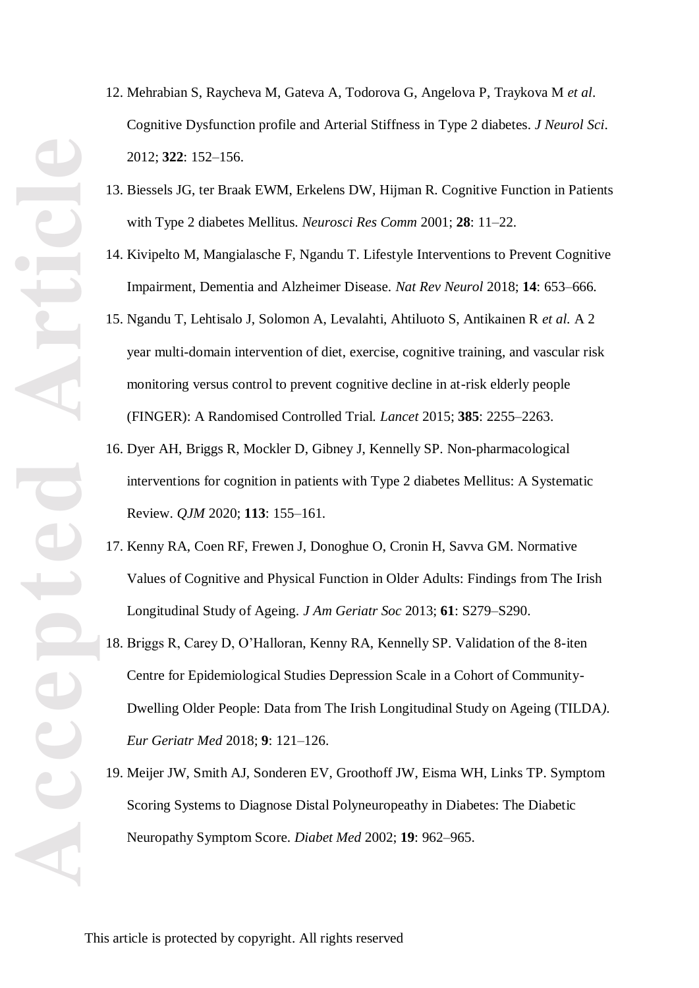- 12. Mehrabian S, Raycheva M, Gateva A, Todorova G, Angelova P, Traykova M *et al*. Cognitive Dysfunction profile and Arterial Stiffness in Type 2 diabetes. *J Neurol Sci*. 2012 ; **322** : 152 –156.
- 13. Biessels JG, ter Braak EWM, Erkelens DW, Hijman R. Cognitive Function in Patients with Type 2 diabetes Mellitus. *Neurosci Res Comm* 2001; 28: 11-22.
- 14. Kivipelto M, Mangialasche F, Ngandu T. Lifestyle Interventions to Prevent Cognitive Impairment, Dementia and Alzheimer Disease. Nat Rev Neurol 2018; 14: 653-666.
- 15. Ngandu T, Lehtisalo J, Solomon A, Levalahti, Ahtiluoto S, Antikainen R *et al.* A 2 year multi -domain intervention of diet, exercise, cognitive training, and vascular risk monitoring versus control to prevent cognitive decline in at -risk elderly people (FINGER): A Randomised Controlled Trial. *Lancet* 2015 ; **385** : 2255 –2263.
- 16. Dyer AH, Briggs R, Mockler D, Gibney J, Kennelly SP. Non -pharmacological interventions for cognition in patients with Type 2 diabetes Mellitus: A Systematic Review. *QJM* 2020 ; **113** : 155 –161.
- 17. Kenny RA, Coen RF, Frewen J, Donoghue O, Cronin H, Savva GM. Normative Values of Cognitive and Physical Function in Older Adults: Findings from The Irish Longitudinal Study of Ageing. *J Am Geriatr Soc* 2013 ; **61** : S279 – S290.
- 18. Briggs R, Carey D, O'Halloran, Kenny RA, Kennelly SP. Validation of the 8 -iten Centre for Epidemiological Studies Depression Scale in a Cohort of Community - Dwelling Older People: Data from The Irish Longitudinal Study on Ageing (TILDA*). Eur Geriatr Med* 2018 ; **9** : 121 –126.
- 19. Meijer JW, Smit h AJ, Sonderen EV, Groothoff JW, Eisma WH, Links TP . Symptom Scoring Systems to Diagnose Distal Polyneuropeathy in Diabetes: The Diabetic Neuropathy Symptom Score. Diabet Med 2002; 19: 962-965.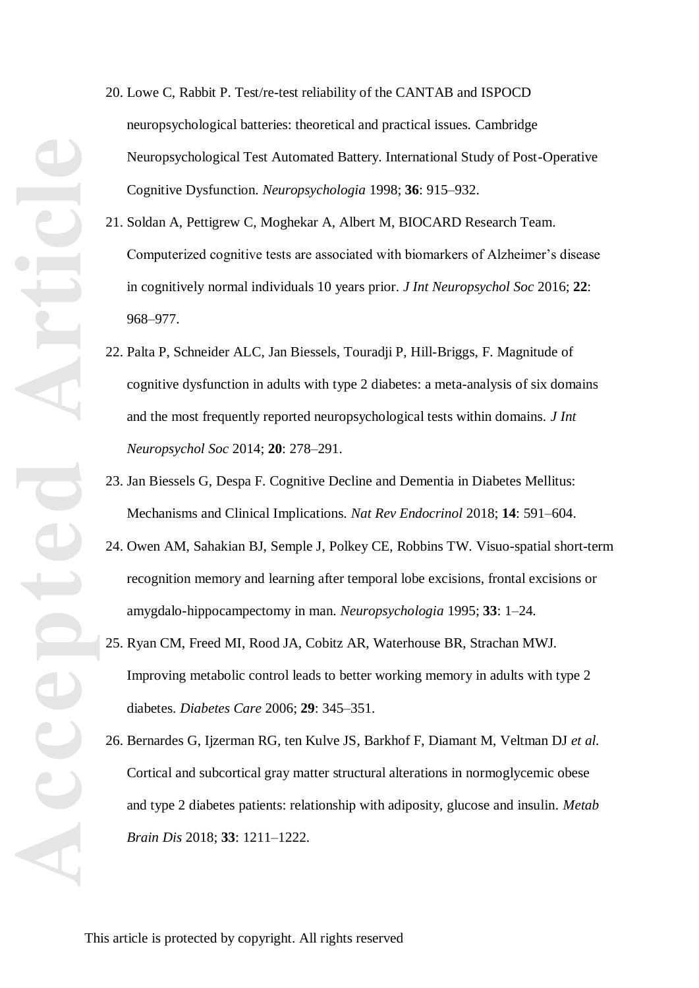- 20. Lowe C , Rabbit P. Test/re -test reliability of the CANTAB and ISPOCD neuropsychological batteries: theoretical and practical issues. Cambridge Neuropsychological Test Automated Battery. International Study of Post -Operative Cognitive Dysfunction. *Neuropsychologia* 1998 ; **36** : 915 –932.
- 21. Soldan A, Pettigrew C, Moghekar A, Albert M, BIOCARD Research Team. Computerized cognitive tests are associated with biomarkers of Alzheimer's disease in cognitively normal individuals 10 years prior. *J Int Neuropsychol Soc* 2016 ; **22** : 968 –977 .
- 22. Palta P, Schneider AL C, Jan Biessels, Touradji P, Hill -Briggs, F. Magnitude of cognitive dysfunction in adults with type 2 diabetes: a meta -analysis of six domains and the most frequently reported neuropsychological tests within domains. *J Int*  Neuropsychol Soc 2014; 20: 278-291.
- 23. Jan Biessels G , Despa F. Cognitive Decline and Dementia in Diabetes Mellitus: Mechanisms and Clinical Implications. *Nat Rev Endocrinol* 2018; 14: 591-604.
- 24. Owen AM, Sahakian BJ, Semple J, Polkey CE, Robbins TW. Visuo -spatial short -term recognition memory and learning after temporal lobe excisions, frontal excisions or amygdalo-hippocampectomy in man. *Neuropsychologia* 1995; 33: 1-24.
- 25. Ryan CM , Freed MI, Rood JA, Cobitz AR, Waterhouse BR, Strachan MWJ. Improving metabolic control leads to better working memory in adults with type 2 diabetes. *Diabetes Care* 2006; 29: 345-351.
- 26. Bernardes G, Ijzerman RG, ten Kulve JS, Barkhof F, Diamant M, Veltman DJ *et al.* Cortical and subcortical gray matter structural alterations in normoglycemic obese and type 2 diabetes patients: relationship with adiposity, glucose and insulin. *Metab* Brain Dis 2018; 33: 1211-1222.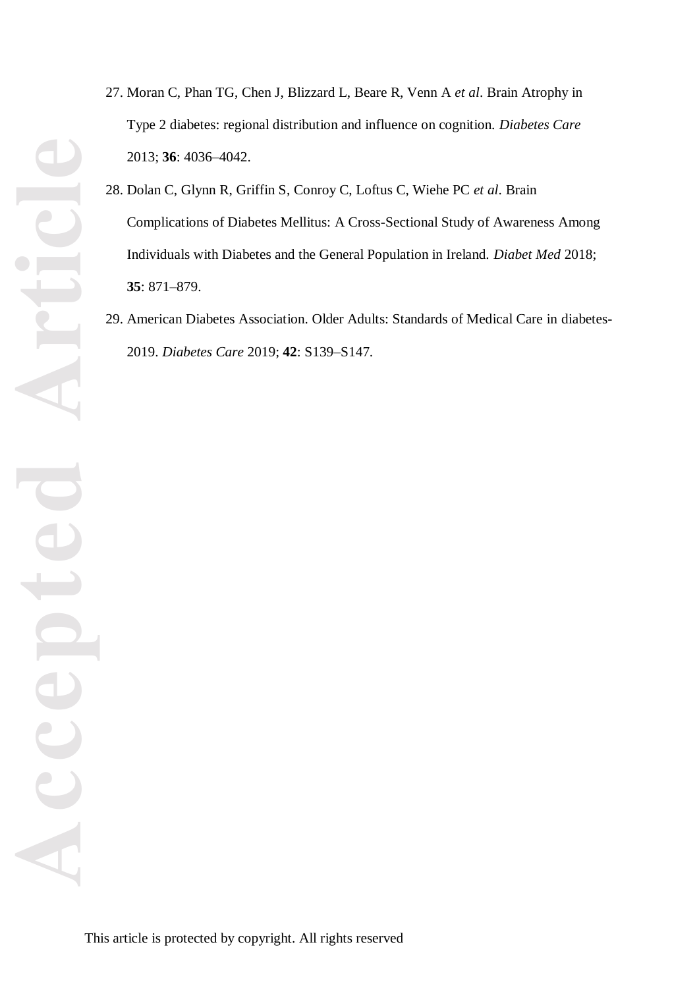- 27. Moran C, Phan TG, Chen J, Blizzard L, Beare R, Venn A *et al*. Brain Atrophy in Type 2 diabetes: regional distribution and influence on cognition. *Diabetes Care* 2013 ; **36** : 4036 –4042.
- 28. Dolan C, Glynn R, Griffin S, Conroy C, Loftus C, Wiehe PC *et al*. Brain Complications of Diabetes Mellitus: A Cross -Sectional Study of Awareness Among Individuals with Diabetes and the General Population in Ireland. *Diabet Med* 2018 ; **35** : 871 – 879.
- 29. American Diabetes Association. Older Adults: Standards of Medical Care in diabetes 2019. *Diabetes Care* 2019 ; **42** : S139 –S147.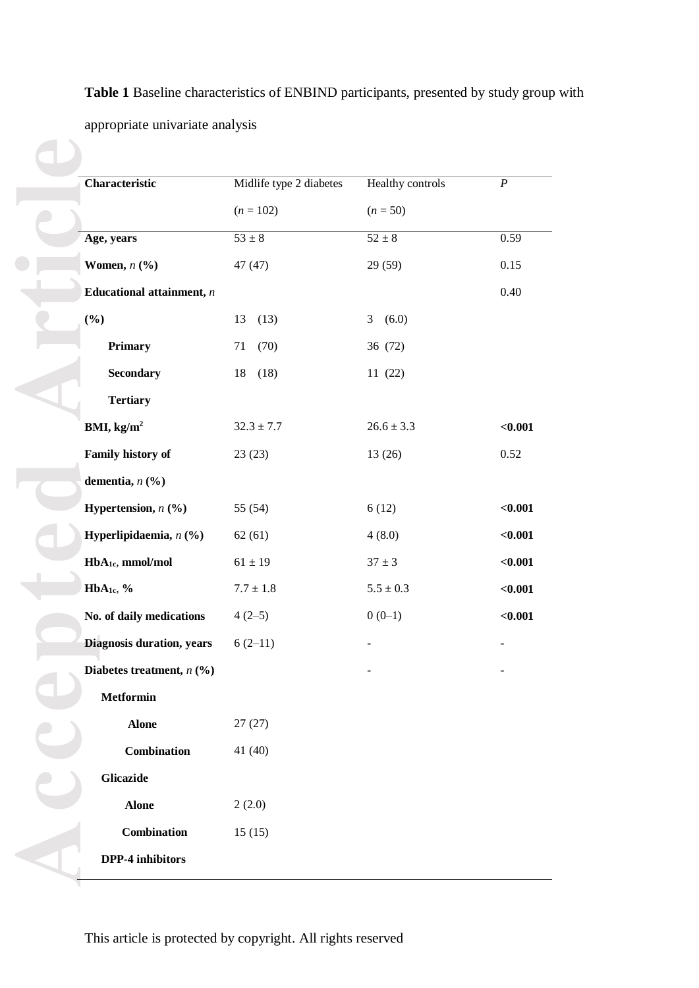**Table 1** Baseline characteristics of ENBIND participants, presented by study group with appropriate univariate analysis

|                              | Midlife type 2 diabetes | <b>Healthy controls</b>      | $\overline{P}$ |
|------------------------------|-------------------------|------------------------------|----------------|
|                              | $(n = 102)$             | $(n = 50)$                   |                |
| Age, years                   | $\overline{53\pm 8}$    | $52 \pm 8$                   | 0.59           |
| Women, $n$ $(\%)$            | 47 (47)                 | 29 (59)                      | 0.15           |
| Educational attainment, $n$  |                         |                              | 0.40           |
| $(\frac{6}{6})$              | 13<br>(13)              | (6.0)<br>3                   |                |
| <b>Primary</b>               | 71<br>(70)              | 36 (72)                      |                |
| <b>Secondary</b>             | 18<br>(18)              | 11(22)                       |                |
| <b>Tertiary</b>              |                         |                              |                |
| BMI, kg/ $m^2$               | $32.3 \pm 7.7$          | $26.6 \pm 3.3$               | < 0.001        |
| Family history of            | 23(23)                  | 13 (26)                      | 0.52           |
| dementia, $n$ (%)            |                         |                              |                |
| Hypertension, $n$ (%)        | 55 (54)                 | 6(12)                        | $0.001$        |
| Hyperlipidaemia, $n$ (%)     | 62(61)                  | 4(8.0)                       | $0.001$        |
| HbA <sub>1c</sub> , mmol/mol | $61 \pm 19$             | $37 \pm 3$                   | < 0.001        |
| HbA <sub>1c</sub> , %        | $7.7\pm1.8$             | $5.5\pm0.3$                  | $0.001$        |
| No. of daily medications     | $4(2-5)$                | $0(0-1)$                     | $0.001$        |
| Diagnosis duration, years    | $6(2-11)$               |                              |                |
| Diabetes treatment, $n$ (%)  |                         | $\qquad \qquad \blacksquare$ | -              |
| <b>Metformin</b>             |                         |                              |                |
| <b>Alone</b>                 | 27(27)                  |                              |                |
| Combination                  | 41 (40)                 |                              |                |
| <b>Glicazide</b>             |                         |                              |                |
| <b>Alone</b>                 | 2(2.0)                  |                              |                |
| Combination                  | 15(15)                  |                              |                |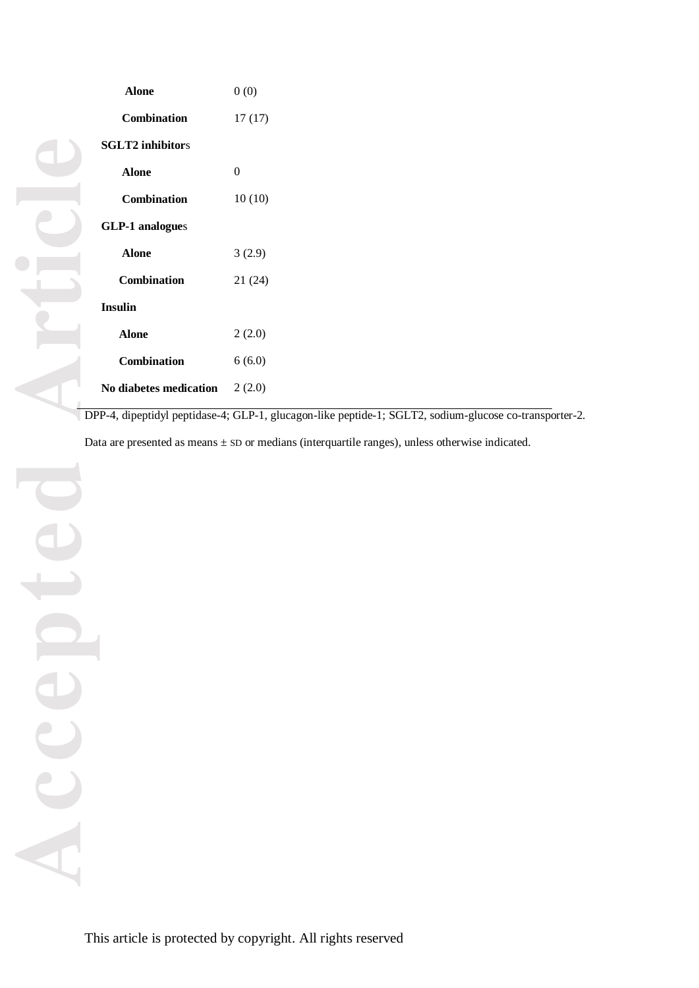| Alone                   | 0(0)     |
|-------------------------|----------|
| <b>Combination</b>      | 17(17)   |
| <b>SGLT2</b> inhibitors |          |
| Alone                   | $\theta$ |
| <b>Combination</b>      | 10(10)   |
| <b>GLP-1</b> analogues  |          |
| Alone                   | 3(2.9)   |
| <b>Combination</b>      | 21 (24)  |
| <b>Insulin</b>          |          |
| Alone                   | 2(2.0)   |
| <b>Combination</b>      | 6(6.0)   |
| No diabetes medication  | 2(2.0)   |

DPP -4, dipeptidyl peptidase -4; GLP -1, glucagon -like peptide -1; SGLT2, sodium -glucose co -transporter - 2 .

Data are presented as means  $\pm$  SD or medians (interquartile ranges), unless otherwise indicated.

 $\epsilon$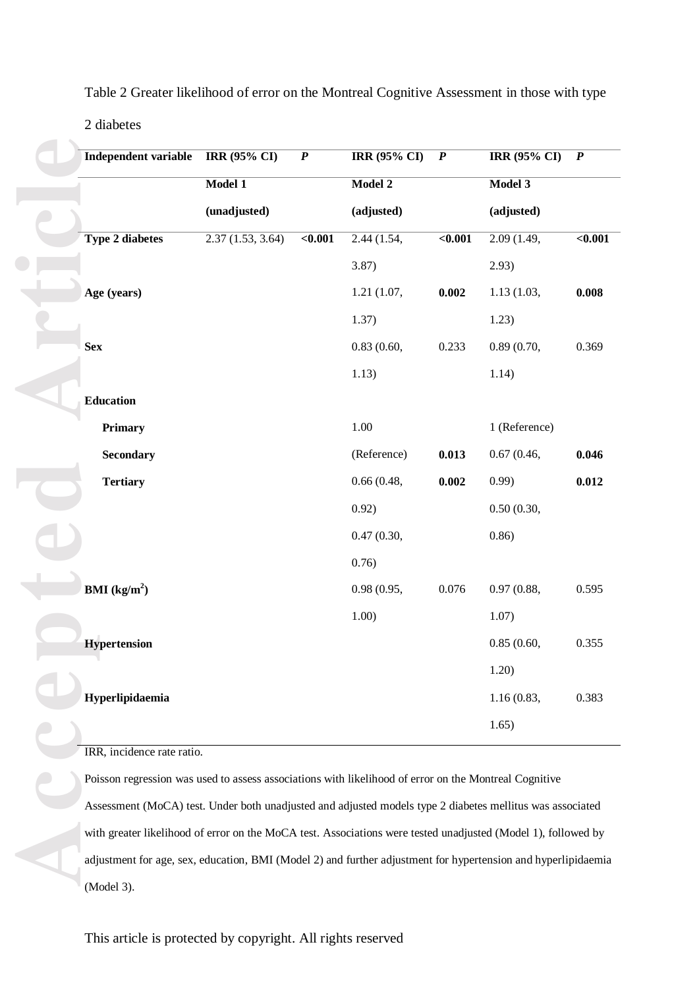| <b>Independent variable</b> | <b>IRR</b> (95% CI)                                                                                           | $\boldsymbol{P}$ | <b>IRR (95% CI)</b> | $\boldsymbol{P}$ | <b>IRR (95% CI)</b> | $\boldsymbol{P}$ |
|-----------------------------|---------------------------------------------------------------------------------------------------------------|------------------|---------------------|------------------|---------------------|------------------|
|                             | Model 1                                                                                                       |                  | Model 2             |                  | Model 3             |                  |
|                             | (unadjusted)                                                                                                  |                  | (adjusted)          |                  | (adjusted)          |                  |
| <b>Type 2 diabetes</b>      | 2.37(1.53, 3.64)                                                                                              | $0.001$          | 2.44(1.54,          | $0.001$          | 2.09(1.49,          | $0.001$          |
|                             |                                                                                                               |                  | 3.87)               |                  | 2.93)               |                  |
| Age (years)                 |                                                                                                               |                  | 1.21(1.07,          | 0.002            | 1.13(1.03,          | 0.008            |
|                             |                                                                                                               |                  | 1.37)               |                  | 1.23)               |                  |
| <b>Sex</b>                  |                                                                                                               |                  | 0.83(0.60,          | 0.233            | 0.89(0.70,          | 0.369            |
|                             |                                                                                                               |                  | 1.13)               |                  | 1.14)               |                  |
| <b>Education</b>            |                                                                                                               |                  |                     |                  |                     |                  |
| Primary                     |                                                                                                               |                  | 1.00                |                  | 1 (Reference)       |                  |
| <b>Secondary</b>            |                                                                                                               |                  | (Reference)         | 0.013            | 0.67(0.46,          | 0.046            |
| <b>Tertiary</b>             |                                                                                                               |                  | 0.66(0.48,          | 0.002            | 0.99                | 0.012            |
|                             |                                                                                                               |                  | 0.92)               |                  | 0.50(0.30,          |                  |
|                             |                                                                                                               |                  | 0.47(0.30,          |                  | 0.86)               |                  |
|                             |                                                                                                               |                  | 0.76)               |                  |                     |                  |
| <b>BMI</b> ( $kg/m2$ )      |                                                                                                               |                  | 0.98(0.95,          | 0.076            | 0.97(0.88,          | 0.595            |
|                             |                                                                                                               |                  | 1.00)               |                  | 1.07)               |                  |
| <b>Hypertension</b>         |                                                                                                               |                  |                     |                  | 0.85(0.60,          | 0.355            |
|                             |                                                                                                               |                  |                     |                  | 1.20)               |                  |
| Hyperlipidaemia             |                                                                                                               |                  |                     |                  | 1.16(0.83,          | 0.383            |
|                             |                                                                                                               |                  |                     |                  | 1.65)               |                  |
| IRR, incidence rate ratio.  |                                                                                                               |                  |                     |                  |                     |                  |
|                             | Poisson regression was used to assess associations with likelihood of error on the Montreal Cognitive         |                  |                     |                  |                     |                  |
|                             | Assessment (MoCA) test. Under both unadjusted and adjusted models type 2 diabetes mellitus was associated     |                  |                     |                  |                     |                  |
|                             | with greater likelihood of error on the MoCA test. Associations were tested unadjusted (Model 1), followed by |                  |                     |                  |                     |                  |
|                             | adjustment for age, sex, education, BMI (Model 2) and further adjustment for hypertension and hyperlipidaemia |                  |                     |                  |                     |                  |
|                             |                                                                                                               |                  |                     |                  |                     |                  |

Table 2 Greater likelihood of error on the Montreal Cognitive Assessment in those with type

#### 2 diabetes

Poisson regression was used to assess associations with likelihood of error on the Montreal Cognitive Assessment (MoCA) test. Under both unadjusted and adjusted models type 2 diabetes mellitus was associated with greater likelihood of error on the MoCA test. Associations were tested unadjusted (Model 1), followed by adjustment for age, sex, education, BMI (Model 2) and further adjustment for hypertension and hyperlipidaemia (Model 3).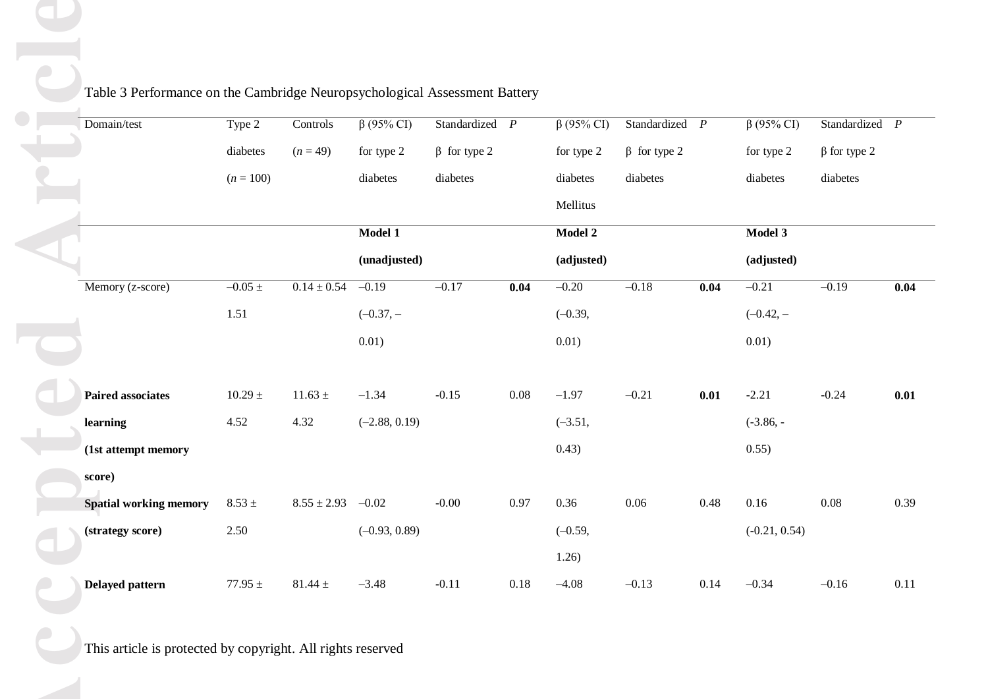| Domain/test                   | Type 2         | Controls        | $\overline{\beta(95\% \text{ CI})}$ | Standardized $P$   |          | $\beta$ (95% CI) | Standardized $P$   |      | $\beta$ (95% CI) | Standardized $P$   |      |
|-------------------------------|----------------|-----------------|-------------------------------------|--------------------|----------|------------------|--------------------|------|------------------|--------------------|------|
|                               | diabetes       | $(n = 49)$      | for type 2                          | $\beta$ for type 2 |          | for type 2       | $\beta$ for type 2 |      | for type 2       | $\beta$ for type 2 |      |
|                               | $(n = 100)$    |                 | diabetes                            | diabetes           |          | diabetes         | diabetes           |      | diabetes         | diabetes           |      |
|                               |                |                 |                                     |                    |          | Mellitus         |                    |      |                  |                    |      |
|                               |                |                 | Model 1                             |                    |          | Model 2          |                    |      | Model 3          |                    |      |
|                               |                |                 | (unadjusted)                        |                    |          | (adjusted)       |                    |      | (adjusted)       |                    |      |
| Memory (z-score)              | $-0.05 \pm$    | $0.14 \pm 0.54$ | $-0.19$                             | $-0.17$            | 0.04     | $-0.20$          | $-0.18$            | 0.04 | $-0.21$          | $-0.19$            | 0.04 |
|                               | 1.51           |                 | $(-0.37, -$                         |                    |          | $(-0.39,$        |                    |      | $(-0.42, -$      |                    |      |
|                               |                |                 | 0.01)                               |                    |          | 0.01)            |                    |      | 0.01)            |                    |      |
| <b>Paired associates</b>      | $10.29\,\pm\,$ | $11.63\,\pm\,$  | $-1.34$                             | $-0.15$            | $0.08\,$ | $-1.97$          | $-0.21$            | 0.01 | $-2.21$          | $-0.24$            | 0.01 |
| learning                      | 4.52           | 4.32            | $(-2.88, 0.19)$                     |                    |          | $(-3.51,$        |                    |      | $(-3.86, -$      |                    |      |
| (1st attempt memory           |                |                 |                                     |                    |          | 0.43)            |                    |      | 0.55)            |                    |      |
| score)                        |                |                 |                                     |                    |          |                  |                    |      |                  |                    |      |
| <b>Spatial working memory</b> | $8.53 \pm$     | $8.55 \pm 2.93$ | $-0.02$                             | $-0.00$            | 0.97     | 0.36             | $0.06\,$           | 0.48 | 0.16             | $0.08\,$           | 0.39 |
| (strategy score)              | 2.50           |                 | $(-0.93, 0.89)$                     |                    |          | $(-0.59,$        |                    |      | $(-0.21, 0.54)$  |                    |      |
|                               |                |                 |                                     |                    |          | 1.26)            |                    |      |                  |                    |      |
| <b>Delayed pattern</b>        | $77.95$ $\pm$  | $81.44\,\pm\,$  | $-3.48$                             | $-0.11$            | $0.18\,$ | $-4.08$          | $-0.13$            | 0.14 | $-0.34$          | $-0.16$            | 0.11 |

 $0.04$ 

-0.24 **0.01**

0.39